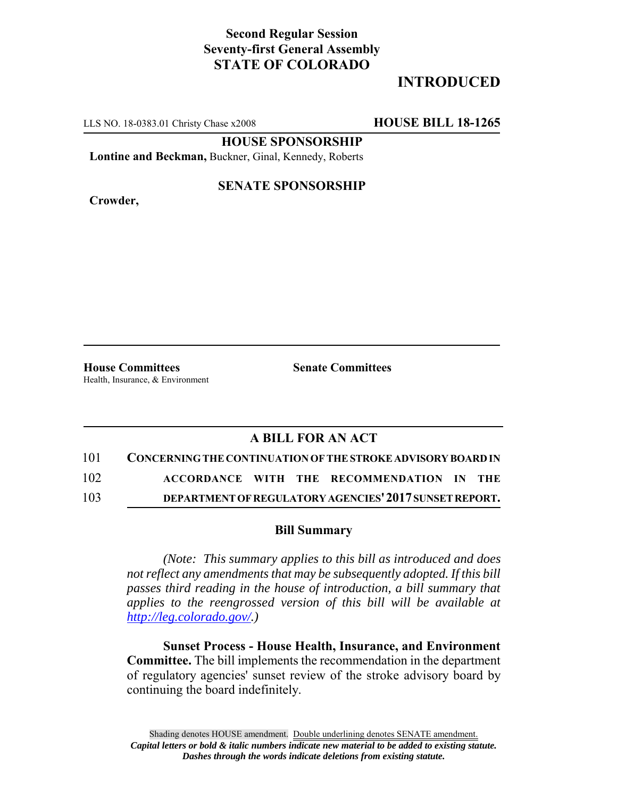## **Second Regular Session Seventy-first General Assembly STATE OF COLORADO**

# **INTRODUCED**

LLS NO. 18-0383.01 Christy Chase x2008 **HOUSE BILL 18-1265**

**HOUSE SPONSORSHIP**

**Lontine and Beckman,** Buckner, Ginal, Kennedy, Roberts

**Crowder,**

#### **SENATE SPONSORSHIP**

**House Committees Senate Committees** Health, Insurance, & Environment

### **A BILL FOR AN ACT**

| 101 | <b>CONCERNING THE CONTINUATION OF THE STROKE ADVISORY BOARD IN</b> |  |                                           |  |
|-----|--------------------------------------------------------------------|--|-------------------------------------------|--|
| 102 |                                                                    |  | ACCORDANCE WITH THE RECOMMENDATION IN THE |  |

103 **DEPARTMENT OF REGULATORY AGENCIES'2017 SUNSET REPORT.**

#### **Bill Summary**

*(Note: This summary applies to this bill as introduced and does not reflect any amendments that may be subsequently adopted. If this bill passes third reading in the house of introduction, a bill summary that applies to the reengrossed version of this bill will be available at http://leg.colorado.gov/.)*

**Sunset Process - House Health, Insurance, and Environment Committee.** The bill implements the recommendation in the department of regulatory agencies' sunset review of the stroke advisory board by continuing the board indefinitely.